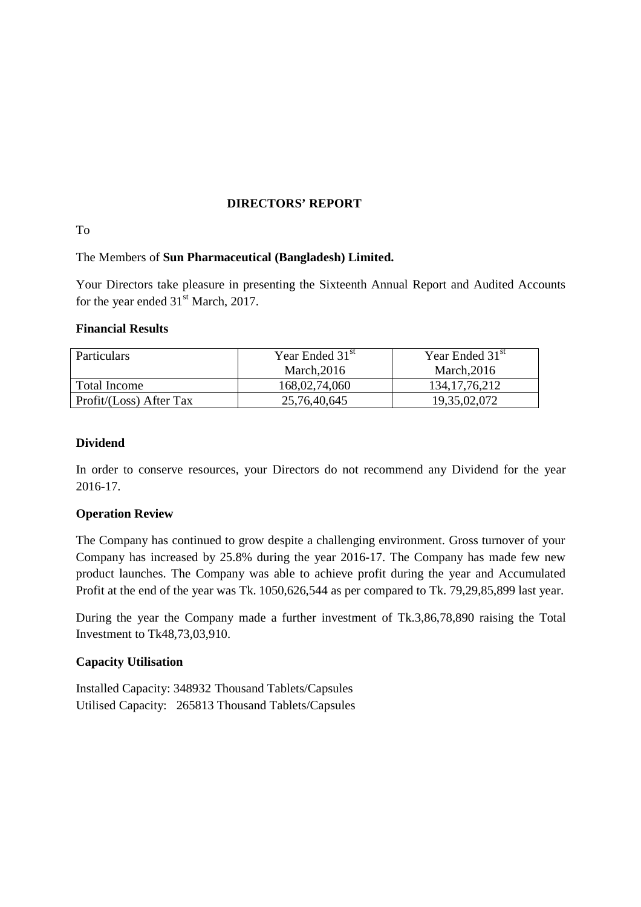## **DIRECTORS' REPORT**

## To

## The Members of **Sun Pharmaceutical (Bangladesh) Limited.**

Your Directors take pleasure in presenting the Sixteenth Annual Report and Audited Accounts for the year ended  $31<sup>st</sup>$  March, 2017.

## **Financial Results**

| <b>Particulars</b>      | Year Ended 31 <sup>st</sup> | Year Ended 31 <sup>st</sup> |  |  |
|-------------------------|-----------------------------|-----------------------------|--|--|
|                         | March, $2016$               | March, $2016$               |  |  |
| Total Income            | 168,02,74,060               | 134, 17, 76, 212            |  |  |
| Profit/(Loss) After Tax | 25,76,40,645                | 19, 35, 02, 072             |  |  |

## **Dividend**

In order to conserve resources, your Directors do not recommend any Dividend for the year 2016-17.

## **Operation Review**

The Company has continued to grow despite a challenging environment. Gross turnover of your Company has increased by 25.8% during the year 2016-17. The Company has made few new product launches. The Company was able to achieve profit during the year and Accumulated Profit at the end of the year was Tk. 1050,626,544 as per compared to Tk. 79,29,85,899 last year.

During the year the Company made a further investment of Tk.3,86,78,890 raising the Total Investment to Tk48,73,03,910.

## **Capacity Utilisation**

Installed Capacity: 348932 Thousand Tablets/Capsules Utilised Capacity: 265813 Thousand Tablets/Capsules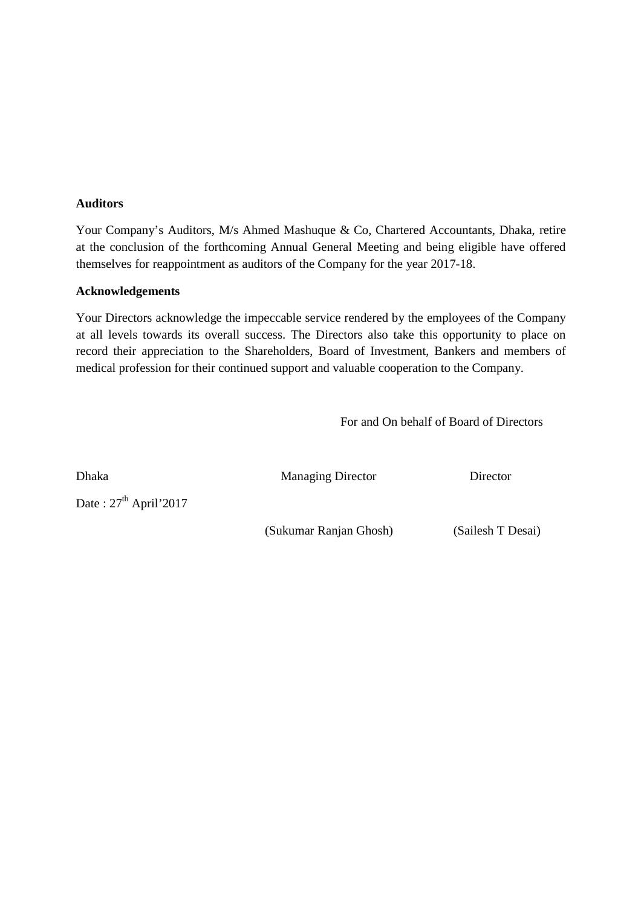## **Auditors**

Your Company's Auditors, M/s Ahmed Mashuque & Co, Chartered Accountants, Dhaka, retire at the conclusion of the forthcoming Annual General Meeting and being eligible have offered themselves for reappointment as auditors of the Company for the year 2017-18.

## **Acknowledgements**

Your Directors acknowledge the impeccable service rendered by the employees of the Company at all levels towards its overall success. The Directors also take this opportunity to place on record their appreciation to the Shareholders, Board of Investment, Bankers and members of medical profession for their continued support and valuable cooperation to the Company.

For and On behalf of Board of Directors

Date:  $27<sup>th</sup>$  April'2017

Dhaka Managing Director Director

(Sukumar Ranjan Ghosh) (Sailesh T Desai)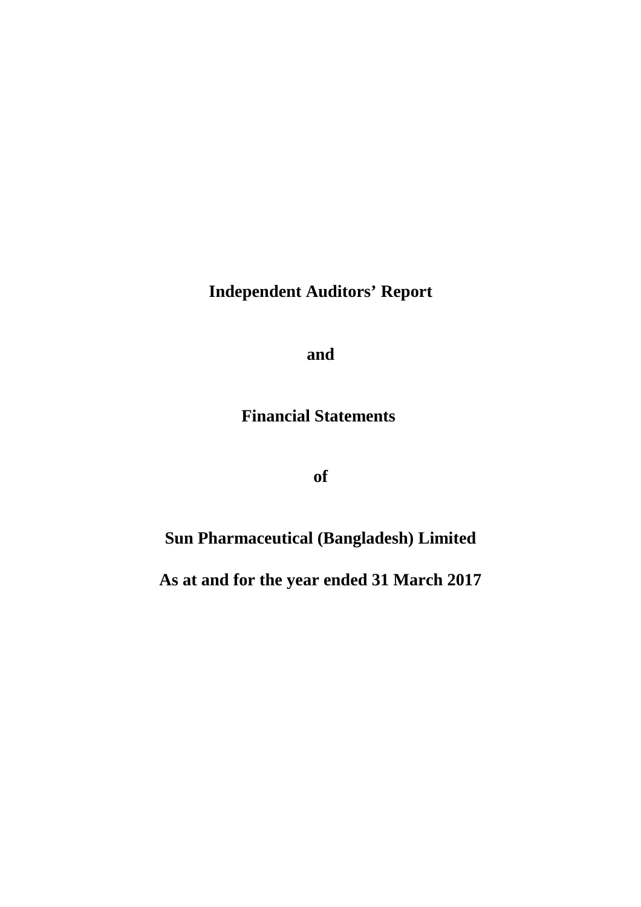**Independent Auditors' Report**

 **and** 

**Financial Statements** 

**of**

**Sun Pharmaceutical (Bangladesh) Limited**

**As at and for the year ended 31 March 2017**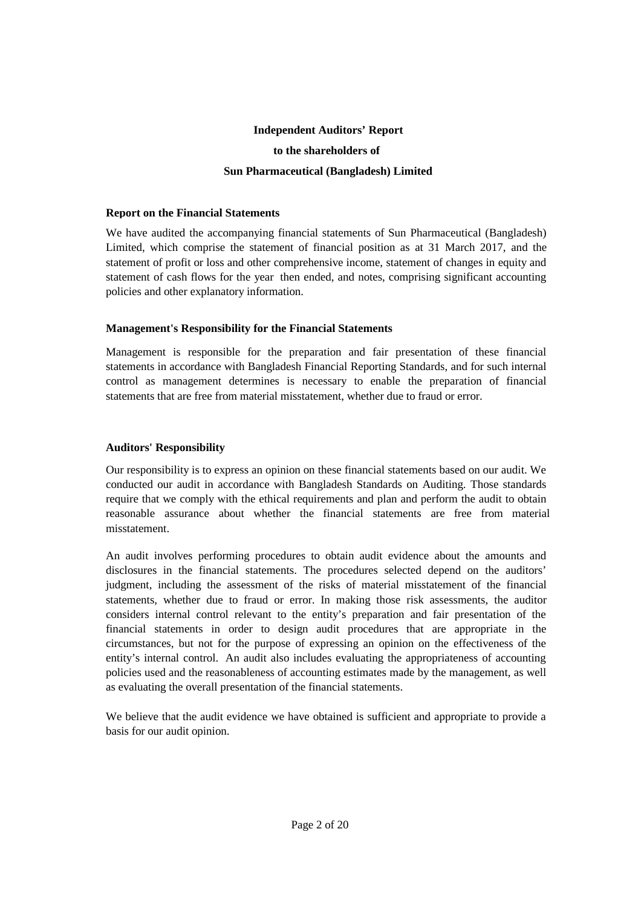## **Independent Auditors' Report**

# **to the shareholders of Sun Pharmaceutical (Bangladesh) Limited**

## **Report on the Financial Statements**

We have audited the accompanying financial statements of Sun Pharmaceutical (Bangladesh) Limited, which comprise the statement of financial position as at 31 March 2017, and the statement of profit or loss and other comprehensive income, statement of changes in equity and statement of cash flows for the year then ended, and notes, comprising significant accounting policies and other explanatory information.

## **Management's Responsibility for the Financial Statements**

Management is responsible for the preparation and fair presentation of these financial statements in accordance with Bangladesh Financial Reporting Standards, and for such internal control as management determines is necessary to enable the preparation of financial statements that are free from material misstatement, whether due to fraud or error.

## **Auditors' Responsibility**

Our responsibility is to express an opinion on these financial statements based on our audit. We conducted our audit in accordance with Bangladesh Standards on Auditing. Those standards require that we comply with the ethical requirements and plan and perform the audit to obtain reasonable assurance about whether the financial statements are free from material misstatement.

An audit involves performing procedures to obtain audit evidence about the amounts and disclosures in the financial statements. The procedures selected depend on the auditors' judgment, including the assessment of the risks of material misstatement of the financial statements, whether due to fraud or error. In making those risk assessments, the auditor considers internal control relevant to the entity's preparation and fair presentation of the financial statements in order to design audit procedures that are appropriate in the circumstances, but not for the purpose of expressing an opinion on the effectiveness of the entity's internal control. An audit also includes evaluating the appropriateness of accounting policies used and the reasonableness of accounting estimates made by the management, as well as evaluating the overall presentation of the financial statements.

We believe that the audit evidence we have obtained is sufficient and appropriate to provide a basis for our audit opinion.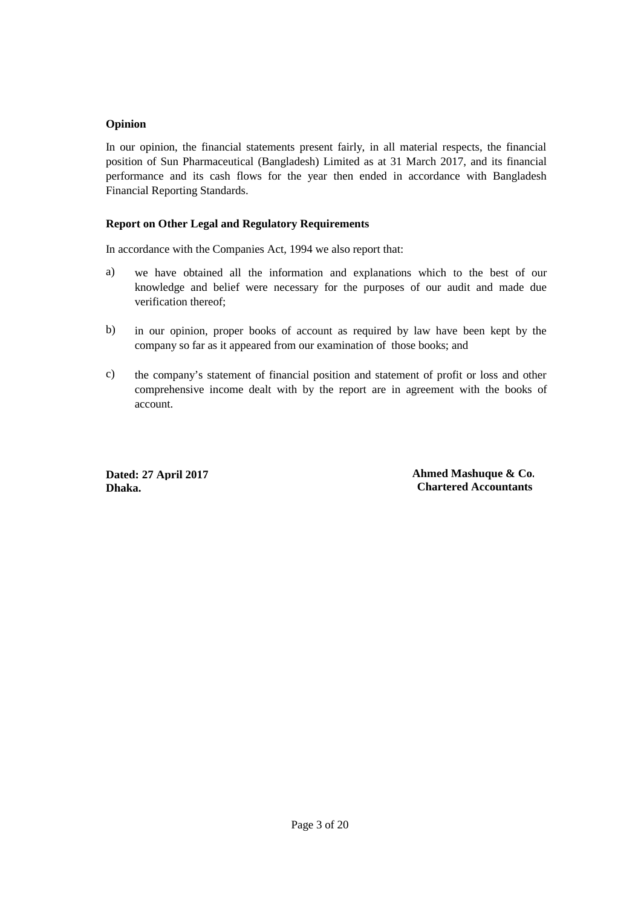## **Opinion**

In our opinion, the financial statements present fairly, in all material respects, the financial position of Sun Pharmaceutical (Bangladesh) Limited as at 31 March 2017, and its financial performance and its cash flows for the year then ended in accordance with Bangladesh Financial Reporting Standards.

## **Report on Other Legal and Regulatory Requirements**

In accordance with the Companies Act, 1994 we also report that:

- a) we have obtained all the information and explanations which to the best of our knowledge and belief were necessary for the purposes of our audit and made due verification thereof;
- b) in our opinion, proper books of account as required by law have been kept by the company so far as it appeared from our examination of those books; and
- c) the company's statement of financial position and statement of profit or loss and other comprehensive income dealt with by the report are in agreement with the books of account.

**Dated: 27 April 2017 Ahmed Mashuque & Co. Dhaka. Chartered Accountants**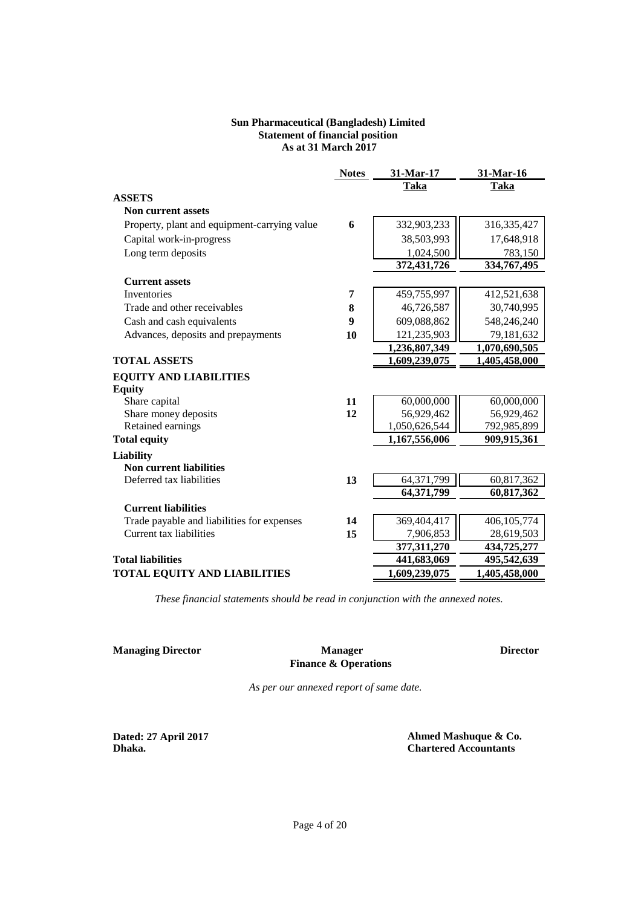## **As at 31 March 2017 Statement of financial position Sun Pharmaceutical (Bangladesh) Limited**

|                                              | <b>Notes</b> | 31-Mar-17     | 31-Mar-16     |
|----------------------------------------------|--------------|---------------|---------------|
|                                              |              | Taka          | <b>Taka</b>   |
| <b>ASSETS</b>                                |              |               |               |
| Non current assets                           |              |               |               |
| Property, plant and equipment-carrying value | 6            | 332,903,233   | 316, 335, 427 |
| Capital work-in-progress                     |              | 38,503,993    | 17,648,918    |
| Long term deposits                           |              | 1,024,500     | 783,150       |
|                                              |              | 372,431,726   | 334,767,495   |
| <b>Current assets</b>                        |              |               |               |
| Inventories                                  | 7            | 459,755,997   | 412,521,638   |
| Trade and other receivables                  | 8            | 46,726,587    | 30,740,995    |
| Cash and cash equivalents                    | 9            | 609,088,862   | 548,246,240   |
| Advances, deposits and prepayments           | 10           | 121,235,903   | 79,181,632    |
|                                              |              | 1,236,807,349 | 1,070,690,505 |
| <b>TOTAL ASSETS</b>                          |              | 1,609,239,075 | 1,405,458,000 |
| <b>EQUITY AND LIABILITIES</b>                |              |               |               |
| <b>Equity</b>                                |              |               |               |
| Share capital                                | 11           | 60,000,000    | 60,000,000    |
| Share money deposits                         | 12           | 56,929,462    | 56,929,462    |
| Retained earnings                            |              | 1,050,626,544 | 792,985,899   |
| <b>Total equity</b>                          |              | 1,167,556,006 | 909,915,361   |
| <b>Liability</b>                             |              |               |               |
| Non current liabilities                      |              |               |               |
| Deferred tax liabilities                     | 13           | 64,371,799    | 60,817,362    |
|                                              |              | 64,371,799    | 60,817,362    |
| <b>Current liabilities</b>                   |              |               |               |
| Trade payable and liabilities for expenses   | 14           | 369,404,417   | 406,105,774   |
| Current tax liabilities                      | 15           | 7,906,853     | 28,619,503    |
|                                              |              | 377,311,270   | 434,725,277   |
| <b>Total liabilities</b>                     |              | 441,683,069   | 495,542,639   |
| <b>TOTAL EQUITY AND LIABILITIES</b>          |              | 1,609,239,075 | 1,405,458,000 |

*These financial statements should be read in conjunction with the annexed notes.* 

#### **Managing Director CONSERVING MANAGING MANAGING DIRECT Director Manager Finance & Operations**

*As per our annexed report of same date.*

**Dated: 27 April 2017**

**Chartered Accountants Ahmed Mashuque & Co.**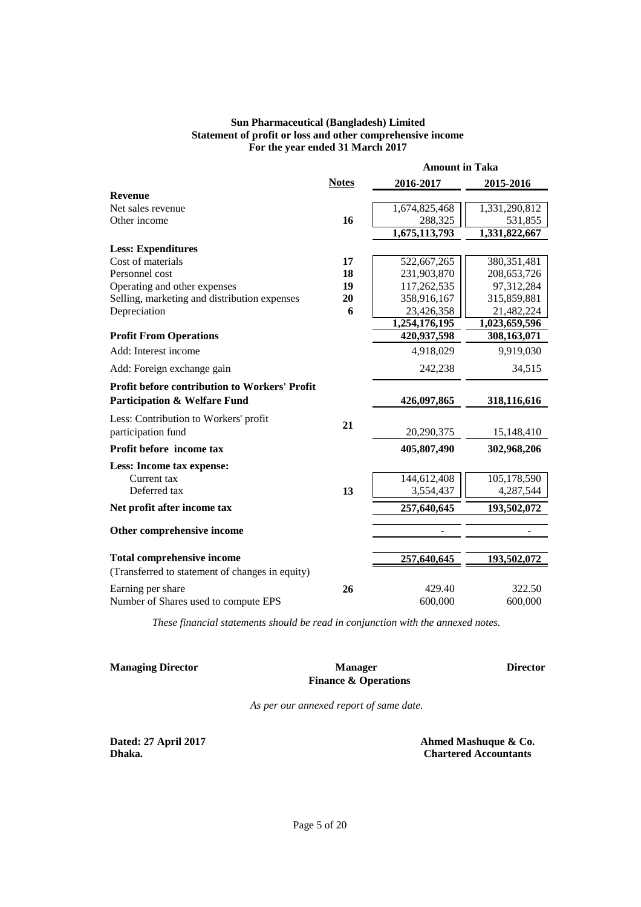## **Sun Pharmaceutical (Bangladesh) Limited Statement of profit or loss and other comprehensive income For the year ended 31 March 2017**

|                                                      |              | <b>Amount in Taka</b> |               |
|------------------------------------------------------|--------------|-----------------------|---------------|
|                                                      | <b>Notes</b> | 2016-2017             | 2015-2016     |
| <b>Revenue</b>                                       |              |                       |               |
| Net sales revenue                                    |              | 1,674,825,468         | 1,331,290,812 |
| Other income                                         | 16           | 288,325               | 531,855       |
|                                                      |              | 1,675,113,793         | 1,331,822,667 |
| <b>Less: Expenditures</b>                            |              |                       |               |
| Cost of materials                                    | 17           | 522,667,265           | 380, 351, 481 |
| Personnel cost                                       | 18           | 231,903,870           | 208, 653, 726 |
| Operating and other expenses                         | 19           | 117,262,535           | 97,312,284    |
| Selling, marketing and distribution expenses         | 20           | 358,916,167           | 315,859,881   |
| Depreciation                                         | 6            | 23,426,358            | 21,482,224    |
|                                                      |              | 1,254,176,195         | 1,023,659,596 |
| <b>Profit From Operations</b>                        |              | 420,937,598           | 308,163,071   |
| Add: Interest income                                 |              | 4,918,029             | 9,919,030     |
| Add: Foreign exchange gain                           |              | 242,238               | 34,515        |
| <b>Profit before contribution to Workers' Profit</b> |              |                       |               |
| <b>Participation &amp; Welfare Fund</b>              |              | 426,097,865           | 318,116,616   |
| Less: Contribution to Workers' profit                |              |                       |               |
| participation fund                                   | 21           | 20,290,375            | 15,148,410    |
| Profit before income tax                             |              | 405,807,490           | 302,968,206   |
| Less: Income tax expense:                            |              |                       |               |
| Current tax                                          |              | 144,612,408           | 105,178,590   |
| Deferred tax                                         | 13           | 3,554,437             | 4,287,544     |
| Net profit after income tax                          |              | 257,640,645           | 193,502,072   |
| Other comprehensive income                           |              |                       |               |
| <b>Total comprehensive income</b>                    |              | 257,640,645           | 193,502,072   |
| (Transferred to statement of changes in equity)      |              |                       |               |
| Earning per share                                    | 26           | 429.40                | 322.50        |
| Number of Shares used to compute EPS                 |              | 600,000               | 600,000       |

*These financial statements should be read in conjunction with the annexed notes.*

| <b>Managing Director</b> | <b>Manager</b>                  | <b>Director</b> |
|--------------------------|---------------------------------|-----------------|
|                          | <b>Finance &amp; Operations</b> |                 |

*As per our annexed report of same date.*

**Dated: 27 April 2017 Dhaka.**

 **Chartered Accountants Ahmed Mashuque & Co.**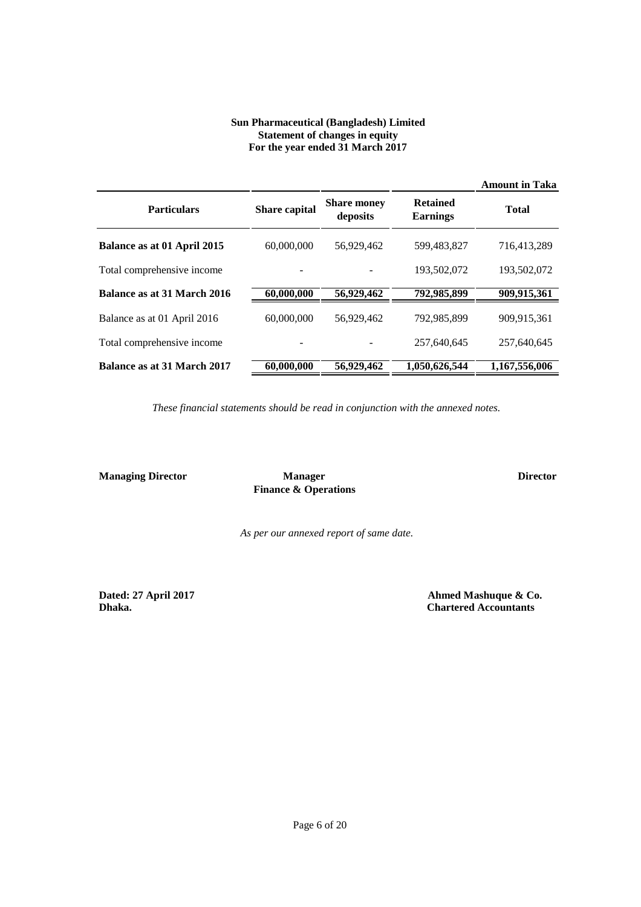## **Sun Pharmaceutical (Bangladesh) Limited Statement of changes in equity For the year ended 31 March 2017**

|                                    |                      |                                |                                    | <b>Amount in Taka</b> |  |
|------------------------------------|----------------------|--------------------------------|------------------------------------|-----------------------|--|
| <b>Particulars</b>                 | <b>Share capital</b> | <b>Share money</b><br>deposits | <b>Retained</b><br><b>Earnings</b> | <b>Total</b>          |  |
| Balance as at 01 April 2015        | 60,000,000           | 56,929,462                     | 599,483,827                        | 716,413,289           |  |
| Total comprehensive income         |                      |                                | 193,502,072                        | 193.502.072           |  |
| Balance as at 31 March 2016        | 60,000,000           | $\overline{56,}929,462$        | 792,985,899                        | 909,915,361           |  |
| Balance as at 01 April 2016        | 60,000,000           | 56,929,462                     | 792,985,899                        | 909,915,361           |  |
| Total comprehensive income         |                      |                                | 257,640,645                        | 257,640,645           |  |
| <b>Balance as at 31 March 2017</b> | 60,000,000           | 56,929,462                     | 1,050,626,544                      | 1,167,556,006         |  |

*These financial statements should be read in conjunction with the annexed notes.*

**Managing Director Manager Director Director** 

 **Manager Finance & Operations**

*As per our annexed report of same date.*

**Dated: 27 April 2017 Dhaka.**

 **Ahmed Mashuque & Co. Chartered Accountants**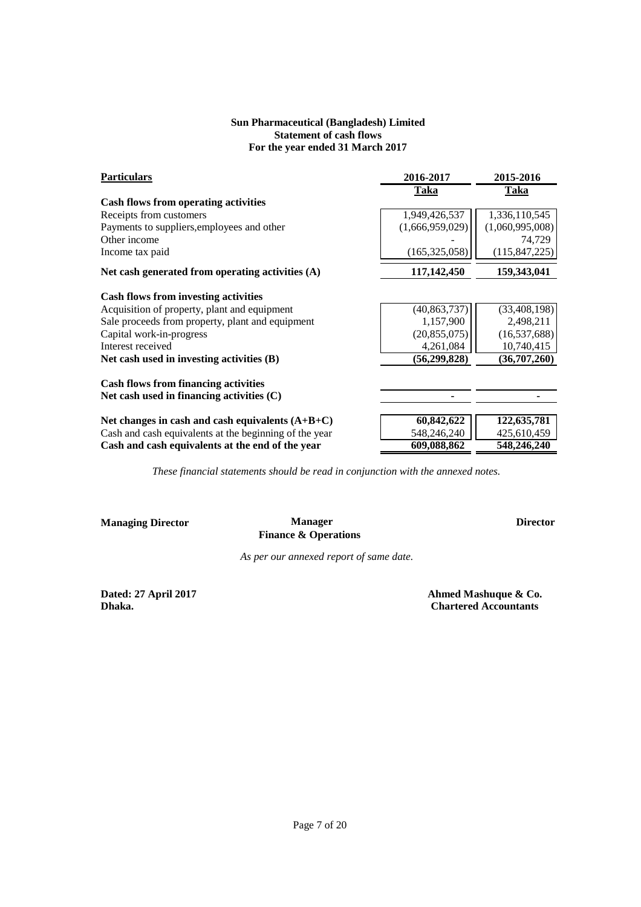## **Sun Pharmaceutical (Bangladesh) Limited Statement of cash flows For the year ended 31 March 2017**

| <b>Particulars</b>                                     | 2016-2017       | 2015-2016       |
|--------------------------------------------------------|-----------------|-----------------|
|                                                        | <b>Taka</b>     | Taka            |
| <b>Cash flows from operating activities</b>            |                 |                 |
| Receipts from customers                                | 1,949,426,537   | 1,336,110,545   |
| Payments to suppliers, employees and other             | (1,666,959,029) | (1,060,995,008) |
| Other income                                           |                 | 74,729          |
| Income tax paid                                        | (165, 325, 058) | (115, 847, 225) |
| Net cash generated from operating activities $(A)$     | 117,142,450     | 159,343,041     |
| <b>Cash flows from investing activities</b>            |                 |                 |
| Acquisition of property, plant and equipment           | (40, 863, 737)  | (33, 408, 198)  |
| Sale proceeds from property, plant and equipment       | 1,157,900       | 2,498,211       |
| Capital work-in-progress                               | (20, 855, 075)  | (16, 537, 688)  |
| Interest received                                      | 4,261,084       | 10,740,415      |
| Net cash used in investing activities (B)              | (56, 299, 828)  | (36,707,260)    |
| <b>Cash flows from financing activities</b>            |                 |                 |
| Net cash used in financing activities $(C)$            |                 |                 |
| Net changes in cash and cash equivalents $(A+B+C)$     | 60,842,622      | 122,635,781     |
| Cash and cash equivalents at the beginning of the year | 548,246,240     | 425,610,459     |
| Cash and cash equivalents at the end of the year       | 609,088,862     | 548,246,240     |
|                                                        |                 |                 |

*These financial statements should be read in conjunction with the annexed notes.*

**Managing Director CONSERVING MANAGERS Director Director** 

 **Manager Finance & Operations**

*As per our annexed report of same date.*

**Dated: 27 April 2017 Dhaka.**

 **Ahmed Mashuque & Co. Chartered Accountants**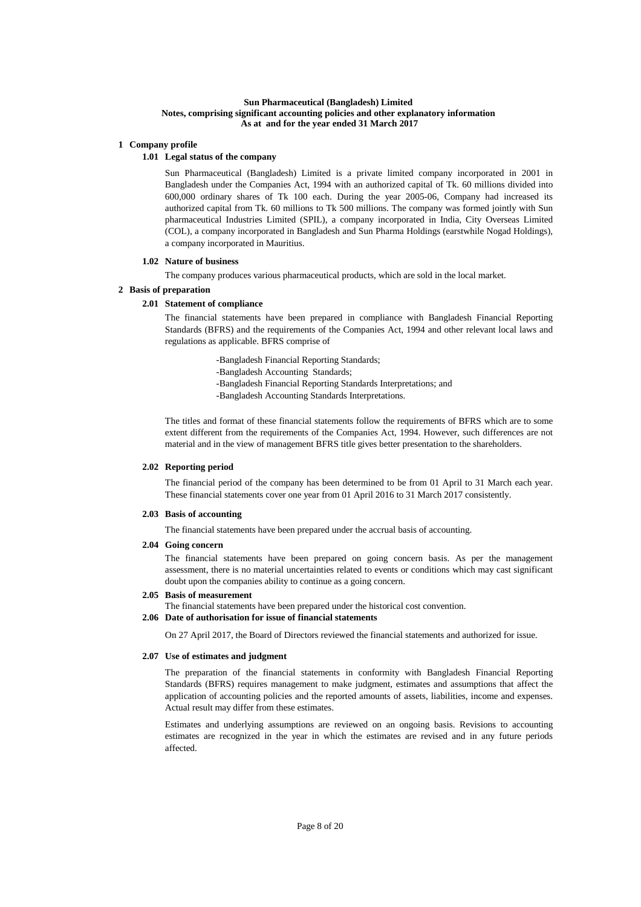### **Sun Pharmaceutical (Bangladesh) Limited Notes, comprising significant accounting policies and other explanatory information As at and for the year ended 31 March 2017**

### **1 Company profile**

#### **1.01 Legal status of the company**

Sun Pharmaceutical (Bangladesh) Limited is a private limited company incorporated in 2001 in Bangladesh under the Companies Act, 1994 with an authorized capital of Tk. 60 millions divided into 600,000 ordinary shares of Tk 100 each. During the year 2005-06, Company had increased its authorized capital from Tk. 60 millions to Tk 500 millions. The company was formed jointly with Sun pharmaceutical Industries Limited (SPIL), a company incorporated in India, City Overseas Limited (COL), a company incorporated in Bangladesh and Sun Pharma Holdings (earstwhile Nogad Holdings), a company incorporated in Mauritius.

#### **1.02 Nature of business**

The company produces various pharmaceutical products, which are sold in the local market.

## **2 Basis of preparation**

## **2.01 Statement of compliance**

The financial statements have been prepared in compliance with Bangladesh Financial Reporting Standards (BFRS) and the requirements of the Companies Act, 1994 and other relevant local laws and regulations as applicable. BFRS comprise of

- -Bangladesh Financial Reporting Standards;
- -Bangladesh Accounting Standards;
- -Bangladesh Financial Reporting Standards Interpretations; and
- -Bangladesh Accounting Standards Interpretations.

The titles and format of these financial statements follow the requirements of BFRS which are to some extent different from the requirements of the Companies Act, 1994. However, such differences are not material and in the view of management BFRS title gives better presentation to the shareholders.

### **2.02 Reporting period**

The financial period of the company has been determined to be from 01 April to 31 March each year. These financial statements cover one year from 01 April 2016 to 31 March 2017 consistently.

#### **2.03 Basis of accounting**

The financial statements have been prepared under the accrual basis of accounting.

 **2.04 Going concern**

The financial statements have been prepared on going concern basis. As per the management assessment, there is no material uncertainties related to events or conditions which may cast significant doubt upon the companies ability to continue as a going concern.

## **2.05 Basis of measurement**

The financial statements have been prepared under the historical cost convention.

## **2.06 Date of authorisation for issue of financial statements**

On 27 April 2017, the Board of Directors reviewed the financial statements and authorized for issue.

### **2.07 Use of estimates and judgment**

The preparation of the financial statements in conformity with Bangladesh Financial Reporting Standards (BFRS) requires management to make judgment, estimates and assumptions that affect the application of accounting policies and the reported amounts of assets, liabilities, income and expenses. Actual result may differ from these estimates.

Estimates and underlying assumptions are reviewed on an ongoing basis. Revisions to accounting estimates are recognized in the year in which the estimates are revised and in any future periods affected.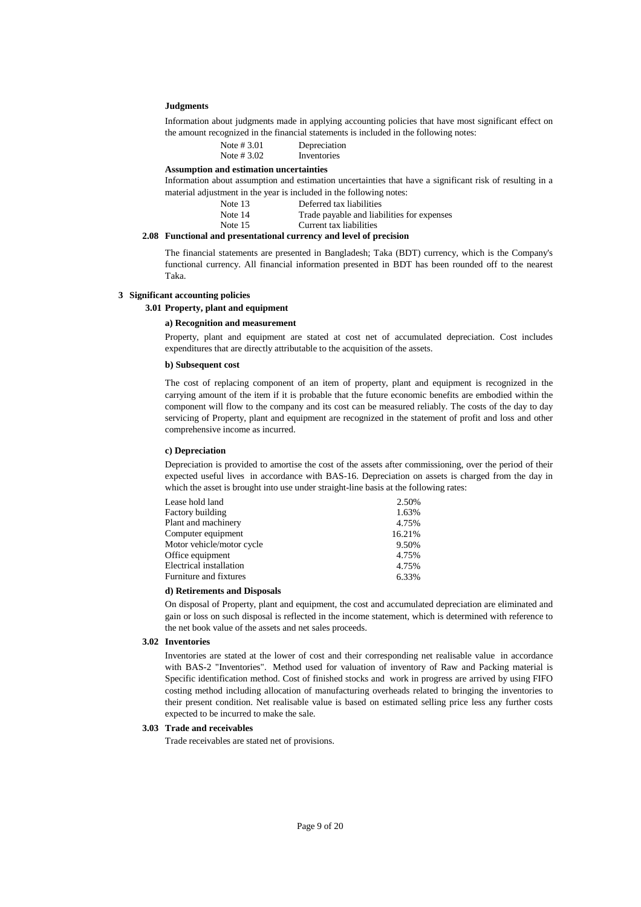### **Judgments**

Information about judgments made in applying accounting policies that have most significant effect on the amount recognized in the financial statements is included in the following notes:

| Note $\#3.01$ | Depreciation |
|---------------|--------------|
| Note $\#3.02$ | Inventories  |

## **Assumption and estimation uncertainties**

Information about assumption and estimation uncertainties that have a significant risk of resulting in a material adjustment in the year is included in the following notes:

| Note 13   | Deferred tax liabilities                   |
|-----------|--------------------------------------------|
| Note 14   | Trade payable and liabilities for expenses |
| Note $15$ | Current tax liabilities                    |

#### **2.08 Functional and presentational currency and level of precision**

The financial statements are presented in Bangladesh; Taka (BDT) currency, which is the Company's functional currency. All financial information presented in BDT has been rounded off to the nearest Taka.

#### **3 Significant accounting policies**

#### **3.01 Property, plant and equipment**

### **a) Recognition and measurement**

Property, plant and equipment are stated at cost net of accumulated depreciation. Cost includes expenditures that are directly attributable to the acquisition of the assets.

#### **b) Subsequent cost**

The cost of replacing component of an item of property, plant and equipment is recognized in the carrying amount of the item if it is probable that the future economic benefits are embodied within the component will flow to the company and its cost can be measured reliably. The costs of the day to day servicing of Property, plant and equipment are recognized in the statement of profit and loss and other comprehensive income as incurred.

#### **c) Depreciation**

Depreciation is provided to amortise the cost of the assets after commissioning, over the period of their expected useful lives in accordance with BAS-16. Depreciation on assets is charged from the day in which the asset is brought into use under straight-line basis at the following rates:

| Lease hold land           | 2.50%  |
|---------------------------|--------|
| Factory building          | 1.63%  |
| Plant and machinery       | 4.75%  |
| Computer equipment        | 16.21% |
| Motor vehicle/motor cycle | 9.50%  |
| Office equipment          | 4.75%  |
| Electrical installation   | 4.75%  |
| Furniture and fixtures    | 6.33%  |
|                           |        |

#### **d) Retirements and Disposals**

On disposal of Property, plant and equipment, the cost and accumulated depreciation are eliminated and gain or loss on such disposal is reflected in the income statement, which is determined with reference to the net book value of the assets and net sales proceeds.

#### **3.02 Inventories**

Inventories are stated at the lower of cost and their corresponding net realisable value in accordance with BAS-2 "Inventories". Method used for valuation of inventory of Raw and Packing material is Specific identification method. Cost of finished stocks and work in progress are arrived by using FIFO costing method including allocation of manufacturing overheads related to bringing the inventories to their present condition. Net realisable value is based on estimated selling price less any further costs expected to be incurred to make the sale.

## **3.03 Trade and receivables**

Trade receivables are stated net of provisions.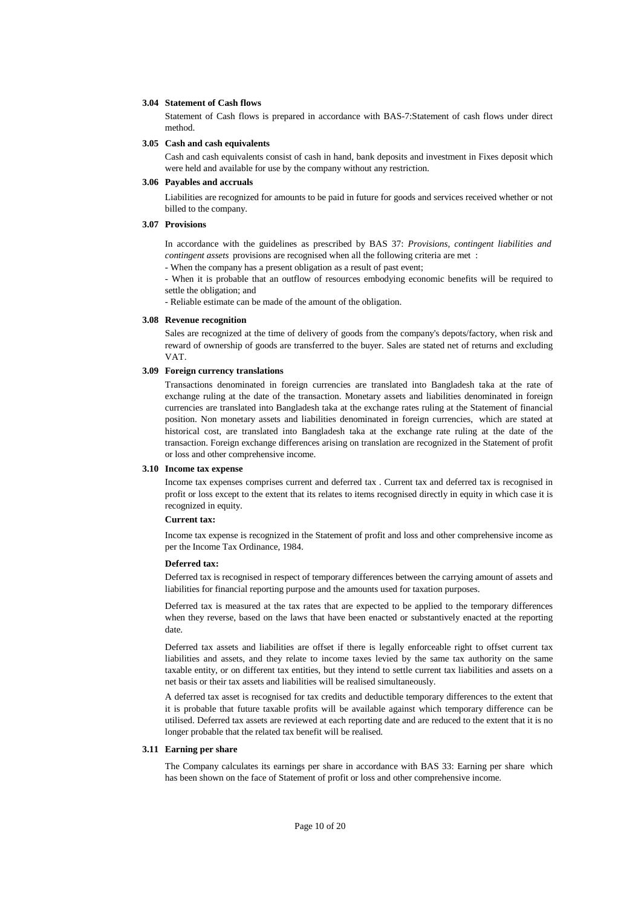## **3.04 Statement of Cash flows**

Statement of Cash flows is prepared in accordance with BAS-7:Statement of cash flows under direct method.

### **3.05 Cash and cash equivalents**

Cash and cash equivalents consist of cash in hand, bank deposits and investment in Fixes deposit which were held and available for use by the company without any restriction.

#### **3.06 Payables and accruals**

Liabilities are recognized for amounts to be paid in future for goods and services received whether or not billed to the company.

## **3.07 Provisions**

In accordance with the guidelines as prescribed by BAS 37: *Provisions, contingent liabilities and contingent assets* provisions are recognised when all the following criteria are met :

- When the company has a present obligation as a result of past event;

- When it is probable that an outflow of resources embodying economic benefits will be required to settle the obligation; and

- Reliable estimate can be made of the amount of the obligation.

#### **3.08 Revenue recognition**

Sales are recognized at the time of delivery of goods from the company's depots/factory, when risk and reward of ownership of goods are transferred to the buyer. Sales are stated net of returns and excluding VAT.

### **3.09 Foreign currency translations**

Transactions denominated in foreign currencies are translated into Bangladesh taka at the rate of exchange ruling at the date of the transaction. Monetary assets and liabilities denominated in foreign currencies are translated into Bangladesh taka at the exchange rates ruling at the Statement of financial position. Non monetary assets and liabilities denominated in foreign currencies, which are stated at historical cost, are translated into Bangladesh taka at the exchange rate ruling at the date of the transaction. Foreign exchange differences arising on translation are recognized in the Statement of profit or loss and other comprehensive income.

### **3.10 Income tax expense**

Income tax expenses comprises current and deferred tax . Current tax and deferred tax is recognised in profit or loss except to the extent that its relates to items recognised directly in equity in which case it is recognized in equity.

### **Current tax:**

Income tax expense is recognized in the Statement of profit and loss and other comprehensive income as per the Income Tax Ordinance, 1984.

#### **Deferred tax:**

Deferred tax is recognised in respect of temporary differences between the carrying amount of assets and liabilities for financial reporting purpose and the amounts used for taxation purposes.

Deferred tax is measured at the tax rates that are expected to be applied to the temporary differences when they reverse, based on the laws that have been enacted or substantively enacted at the reporting date.

Deferred tax assets and liabilities are offset if there is legally enforceable right to offset current tax liabilities and assets, and they relate to income taxes levied by the same tax authority on the same taxable entity, or on different tax entities, but they intend to settle current tax liabilities and assets on a net basis or their tax assets and liabilities will be realised simultaneously.

A deferred tax asset is recognised for tax credits and deductible temporary differences to the extent that it is probable that future taxable profits will be available against which temporary difference can be utilised. Deferred tax assets are reviewed at each reporting date and are reduced to the extent that it is no longer probable that the related tax benefit will be realised.

### **3.11 Earning per share**

The Company calculates its earnings per share in accordance with BAS 33: Earning per share which has been shown on the face of Statement of profit or loss and other comprehensive income.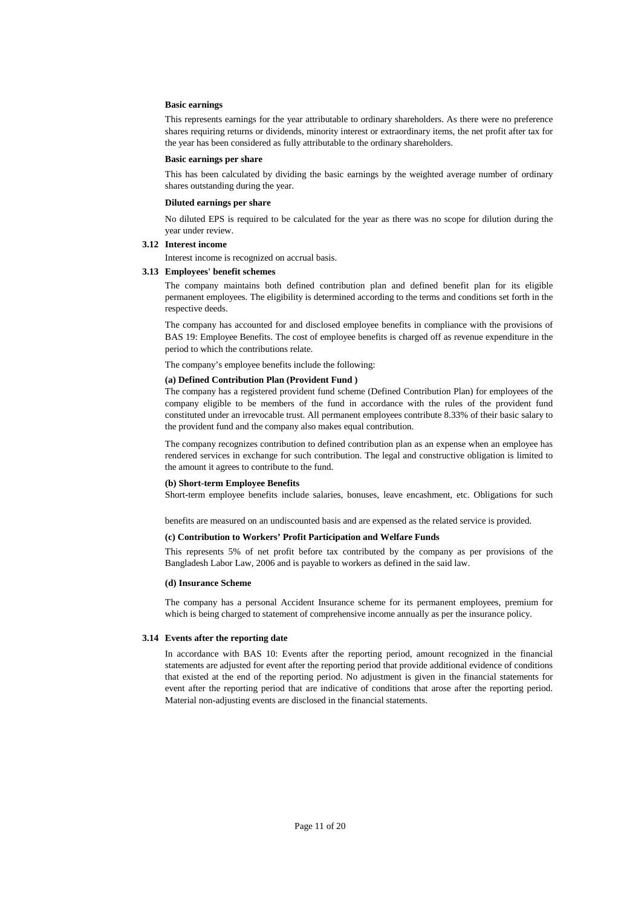#### **Basic earnings**

This represents earnings for the year attributable to ordinary shareholders. As there were no preference shares requiring returns or dividends, minority interest or extraordinary items, the net profit after tax for the year has been considered as fully attributable to the ordinary shareholders.

#### **Basic earnings per share**

This has been calculated by dividing the basic earnings by the weighted average number of ordinary shares outstanding during the year.

#### **Diluted earnings per share**

No diluted EPS is required to be calculated for the year as there was no scope for dilution during the year under review.

### **3.12 Interest income**

Interest income is recognized on accrual basis.

#### **3.13 Employees' benefit schemes**

The company maintains both defined contribution plan and defined benefit plan for its eligible permanent employees. The eligibility is determined according to the terms and conditions set forth in the respective deeds.

The company has accounted for and disclosed employee benefits in compliance with the provisions of BAS 19: Employee Benefits. The cost of employee benefits is charged off as revenue expenditure in the period to which the contributions relate.

The company's employee benefits include the following:

#### **(a) Defined Contribution Plan (Provident Fund )**

The company has a registered provident fund scheme (Defined Contribution Plan) for employees of the company eligible to be members of the fund in accordance with the rules of the provident fund constituted under an irrevocable trust. All permanent employees contribute 8.33% of their basic salary to the provident fund and the company also makes equal contribution.

The company recognizes contribution to defined contribution plan as an expense when an employee has rendered services in exchange for such contribution. The legal and constructive obligation is limited to the amount it agrees to contribute to the fund.

#### **(b) Short-term Employee Benefits**

Short-term employee benefits include salaries, bonuses, leave encashment, etc. Obligations for such

benefits are measured on an undiscounted basis and are expensed as the related service is provided.

#### **(c) Contribution to Workers' Profit Participation and Welfare Funds**

This represents 5% of net profit before tax contributed by the company as per provisions of the Bangladesh Labor Law, 2006 and is payable to workers as defined in the said law.

#### **(d) Insurance Scheme**

The company has a personal Accident Insurance scheme for its permanent employees, premium for which is being charged to statement of comprehensive income annually as per the insurance policy.

#### **3.14 Events after the reporting date**

In accordance with BAS 10: Events after the reporting period, amount recognized in the financial statements are adjusted for event after the reporting period that provide additional evidence of conditions that existed at the end of the reporting period. No adjustment is given in the financial statements for event after the reporting period that are indicative of conditions that arose after the reporting period. Material non-adjusting events are disclosed in the financial statements.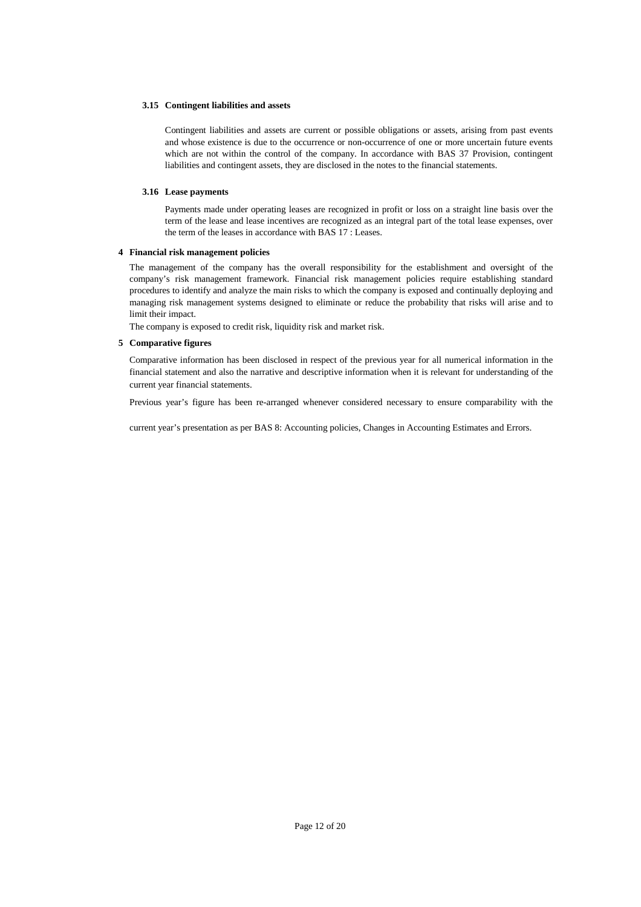### **3.15 Contingent liabilities and assets**

Contingent liabilities and assets are current or possible obligations or assets, arising from past events and whose existence is due to the occurrence or non-occurrence of one or more uncertain future events which are not within the control of the company. In accordance with BAS 37 Provision, contingent liabilities and contingent assets, they are disclosed in the notes to the financial statements.

### **3.16 Lease payments**

Payments made under operating leases are recognized in profit or loss on a straight line basis over the term of the lease and lease incentives are recognized as an integral part of the total lease expenses, over the term of the leases in accordance with BAS 17 : Leases.

### **4 Financial risk management policies**

The management of the company has the overall responsibility for the establishment and oversight of the company's risk management framework. Financial risk management policies require establishing standard procedures to identify and analyze the main risks to which the company is exposed and continually deploying and managing risk management systems designed to eliminate or reduce the probability that risks will arise and to limit their impact.

The company is exposed to credit risk, liquidity risk and market risk.

### **5 Comparative figures**

Comparative information has been disclosed in respect of the previous year for all numerical information in the financial statement and also the narrative and descriptive information when it is relevant for understanding of the current year financial statements.

Previous year's figure has been re-arranged whenever considered necessary to ensure comparability with the

current year's presentation as per BAS 8: Accounting policies, Changes in Accounting Estimates and Errors.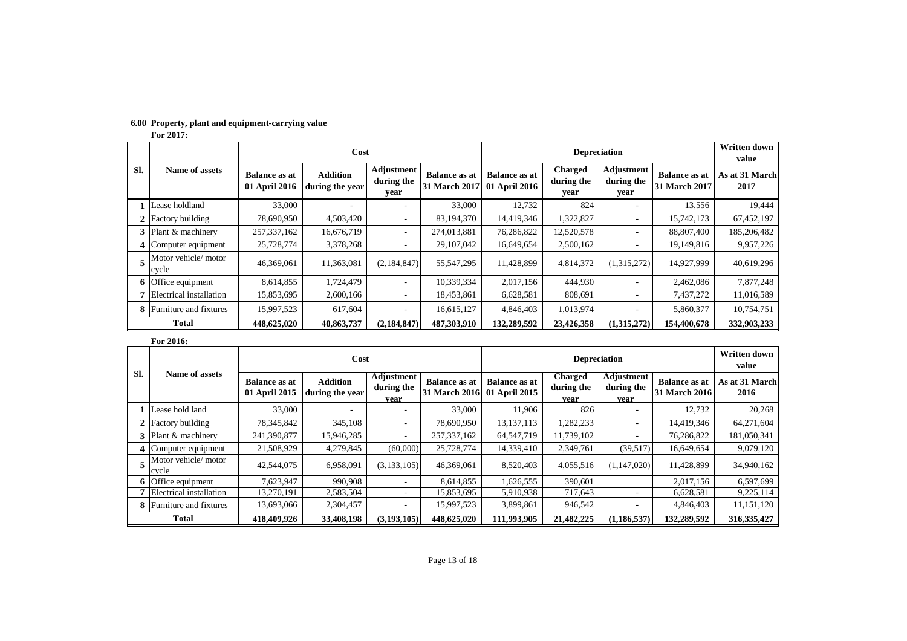## **6.00 Property, plant and equipment-carrying value**

**For 2017:**

|     |                                  | Cost                                  |                                    |                                  |                                       | <b>Depreciation</b>                   |                                      |                                         |                                       | <b>Written down</b><br>value |
|-----|----------------------------------|---------------------------------------|------------------------------------|----------------------------------|---------------------------------------|---------------------------------------|--------------------------------------|-----------------------------------------|---------------------------------------|------------------------------|
| Sl. | Name of assets                   | <b>Balance as at</b><br>01 April 2016 | <b>Addition</b><br>during the year | Adjustment<br>during the<br>year | <b>Balance as at</b><br>31 March 2017 | <b>Balance as at</b><br>01 April 2016 | <b>Charged</b><br>during the<br>year | <b>Adjustment</b><br>during the<br>year | <b>Balance as at</b><br>31 March 2017 | As at 31 March<br>2017       |
|     | Lease holdland                   | 33,000                                |                                    |                                  | 33,000                                | 12,732                                | 824                                  |                                         | 13,556                                | 19,444                       |
|     | 2 Factory building               | 78,690,950                            | 4,503,420                          | ۰                                | 83,194,370                            | 14,419,346                            | 1,322,827                            | ٠                                       | 15,742,173                            | 67,452,197                   |
|     | <b>3</b> Plant & machinery       | 257, 337, 162                         | 16,676,719                         |                                  | 274,013,881                           | 76,286,822                            | 12,520,578                           | ٠                                       | 88,807,400                            | 185,206,482                  |
|     | Computer equipment               | 25,728,774                            | 3,378,268                          | ۰                                | 29,107,042                            | 16,649,654                            | 2,500,162                            | ۰                                       | 19,149,816                            | 9,957,226                    |
|     | Motor vehicle/motor<br>cycle     | 46,369,061                            | 11,363,081                         | (2,184,847)                      | 55, 547, 295                          | 11,428,899                            | 4,814,372                            | (1,315,272)                             | 14,927,999                            | 40,619,296                   |
|     | <b>6</b> Office equipment        | 8,614,855                             | 1,724,479                          |                                  | 10,339,334                            | 2,017,156                             | 444,930                              | ٠                                       | 2,462,086                             | 7,877,248                    |
|     | <b>7</b> Electrical installation | 15,853,695                            | 2,600,166                          | ۰.                               | 18,453,861                            | 6,628,581                             | 808,691                              | ٠                                       | 7,437,272                             | 11,016,589                   |
|     | <b>8</b> Furniture and fixtures  | 15,997,523                            | 617,604                            | ۰.                               | 16,615,127                            | 4,846,403                             | 1,013,974                            | ٠                                       | 5,860,377                             | 10,754,751                   |
|     | <b>Total</b>                     | 448,625,020                           | 40,863,737                         | (2.184.847)                      | 487,303,910                           | 132,289,592                           | 23,426,358                           | (1,315,272)                             | 154,400,678                           | 332,903,233                  |

## **For 2016:**

|     |                                 | Cost                                  |                                    |                                  |                                       | <b>Depreciation</b>                   |                               |                                  |                                              | <b>Written down</b><br>value |
|-----|---------------------------------|---------------------------------------|------------------------------------|----------------------------------|---------------------------------------|---------------------------------------|-------------------------------|----------------------------------|----------------------------------------------|------------------------------|
| SI. | Name of assets                  | <b>Balance as at</b><br>01 April 2015 | <b>Addition</b><br>during the year | Adjustment<br>during the<br>vear | <b>Balance as at</b><br>31 March 2016 | <b>Balance as at</b><br>01 April 2015 | Charged<br>during the<br>vear | Adjustment<br>during the<br>vear | <b>Balance as at</b><br><b>31 March 2016</b> | As at 31 March<br>2016       |
|     | Lease hold land                 | 33,000                                |                                    |                                  | 33,000                                | 11.906                                | 826                           | ٠                                | 12,732                                       | 20,268                       |
|     | 2 Factory building              | 78,345,842                            | 345,108                            | ۰.                               | 78,690,950                            | 13.137.113                            | 1,282,233                     | ٠                                | 14,419,346                                   | 64,271,604                   |
|     | 3 Plant & machinery             | 241,390,877                           | 15,946,285                         | ÷                                | 257, 337, 162                         | 64,547,719                            | 11,739,102                    | ٠                                | 76,286,822                                   | 181,050,341                  |
|     | 4 Computer equipment            | 21,508,929                            | 4,279,845                          | (60,000)                         | 25,728,774                            | 14,339,410                            | 2,349,761                     | (39, 517)                        | 16,649,654                                   | 9,079,120                    |
|     | Motor vehicle/motor<br>cycle    | 42,544,075                            | 6,958,091                          | (3, 133, 105)                    | 46,369,061                            | 8,520,403                             | 4,055,516                     | (1,147,020)                      | 11,428,899                                   | 34,940,162                   |
|     | <b>6</b> Office equipment       | 7,623,947                             | 990,908                            | ÷.                               | 8,614,855                             | 1,626,555                             | 390,601                       |                                  | 2,017,156                                    | 6,597,699                    |
|     | Electrical installation         | 13,270,191                            | 2,583,504                          |                                  | 15,853,695                            | 5,910,938                             | 717,643                       | $\overline{\phantom{a}}$         | 6,628,581                                    | 9,225,114                    |
|     | <b>8</b> Furniture and fixtures | 13,693,066                            | 2,304,457                          | ۰                                | 15,997,523                            | 3,899,861                             | 946,542                       |                                  | 4,846,403                                    | 11,151,120                   |
|     | <b>Total</b>                    | 418,409,926                           | 33,408,198                         | (3,193,105)                      | 448,625,020                           | 111,993,905                           | 21,482,225                    | (1, 186, 537)                    | 132,289,592                                  | 316, 335, 427                |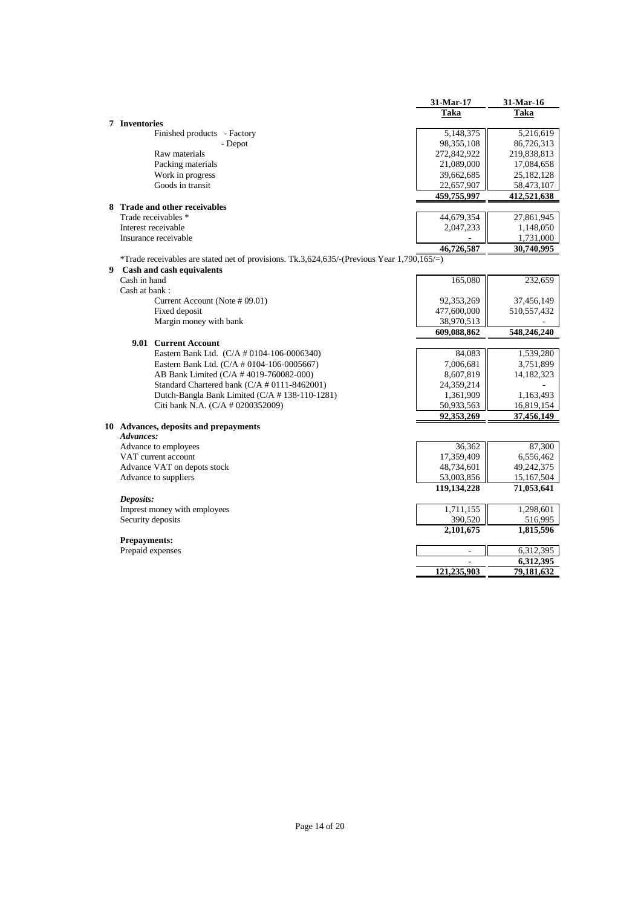|                                                                                            | 31-Mar-17   | 31-Mar-16     |
|--------------------------------------------------------------------------------------------|-------------|---------------|
|                                                                                            | Taka        | Taka          |
| 7 Inventories                                                                              |             |               |
| Finished products - Factory                                                                | 5,148,375   | 5,216,619     |
| - Depot                                                                                    | 98,355,108  | 86,726,313    |
| Raw materials                                                                              | 272,842,922 | 219,838,813   |
| Packing materials                                                                          | 21,089,000  | 17,084,658    |
| Work in progress                                                                           | 39,662,685  | 25,182,128    |
| Goods in transit                                                                           | 22,657,907  | 58,473,107    |
|                                                                                            | 459,755,997 | 412,521,638   |
| 8 Trade and other receivables                                                              |             |               |
| Trade receivables *                                                                        | 44,679,354  | 27,861,945    |
| Interest receivable                                                                        | 2,047,233   | 1,148,050     |
| Insurance receivable                                                                       |             | 1,731,000     |
|                                                                                            | 46,726,587  | 30,740,995    |
| *Trade receivables are stated net of provisions. Tk.3,624,635/-(Previous Year 1,790,165/=) |             |               |
| 9 Cash and cash equivalents                                                                |             |               |
| Cash in hand                                                                               |             |               |
|                                                                                            | 165,080     | 232,659       |
| Cash at bank:                                                                              |             |               |
| Current Account (Note # 09.01)                                                             | 92,353,269  | 37,456,149    |
| Fixed deposit                                                                              | 477,600,000 | 510, 557, 432 |
| Margin money with bank                                                                     | 38,970,513  |               |
|                                                                                            | 609,088,862 | 548,246,240   |
| 9.01 Current Account                                                                       |             |               |
| Eastern Bank Ltd. (C/A # 0104-106-0006340)                                                 | 84,083      | 1,539,280     |
| Eastern Bank Ltd. (C/A # 0104-106-0005667)                                                 | 7,006,681   | 3,751,899     |
| AB Bank Limited (C/A # 4019-760082-000)                                                    | 8,607,819   | 14,182,323    |
| Standard Chartered bank (C/A # 0111-8462001)                                               | 24,359,214  |               |
| Dutch-Bangla Bank Limited (C/A #138-110-1281)                                              | 1,361,909   | 1,163,493     |
| Citi bank N.A. (C/A # 0200352009)                                                          | 50,933,563  | 16,819,154    |
|                                                                                            | 92,353,269  | 37,456,149    |
| 10 Advances, deposits and prepayments                                                      |             |               |
| Advances:                                                                                  |             |               |
| Advance to employees                                                                       | 36,362      | 87,300        |
| VAT current account                                                                        | 17,359,409  | 6,556,462     |
| Advance VAT on depots stock                                                                | 48,734,601  | 49,242,375    |
| Advance to suppliers                                                                       | 53,003,856  | 15,167,504    |
|                                                                                            | 119,134,228 | 71,053,641    |
| Deposits:                                                                                  |             |               |
| Imprest money with employees                                                               | 1,711,155   | 1,298,601     |
| Security deposits                                                                          | 390,520     | 516,995       |
|                                                                                            | 2,101,675   | 1,815,596     |
| <b>Prepayments:</b>                                                                        |             |               |
| Prepaid expenses                                                                           |             | 6,312,395     |
|                                                                                            |             | 6,312,395     |
|                                                                                            | 121,235,903 | 79,181,632    |
|                                                                                            |             |               |
|                                                                                            |             |               |
|                                                                                            |             |               |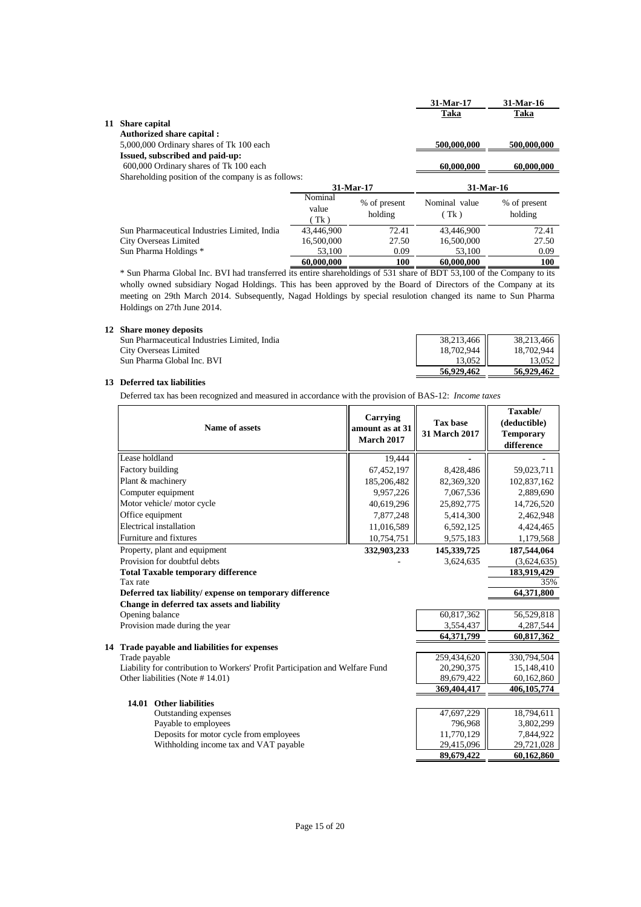|    |                                                     |            |              | 31-Mar-17     | 31-Mar-16    |
|----|-----------------------------------------------------|------------|--------------|---------------|--------------|
|    |                                                     |            |              | Taka          | Taka         |
| 11 | <b>Share capital</b>                                |            |              |               |              |
|    | <b>Authorized share capital:</b>                    |            |              |               |              |
|    | 5,000,000 Ordinary shares of Tk 100 each            |            |              | 500,000,000   | 500,000,000  |
|    | Issued, subscribed and paid-up:                     |            |              |               |              |
|    | 600,000 Ordinary shares of Tk 100 each              |            |              | 60,000,000    | 60,000,000   |
|    | Shareholding position of the company is as follows: |            |              |               |              |
|    |                                                     |            | 31-Mar-17    | 31-Mar-16     |              |
|    |                                                     | Nominal    | % of present | Nominal value | % of present |
|    |                                                     | value      |              |               |              |
|    |                                                     | (Tk)       | holding      | (Tk)          | holding      |
|    | Sun Pharmaceutical Industries Limited, India        | 43,446,900 | 72.41        | 43,446,900    | 72.41        |
|    | City Overseas Limited                               | 16,500,000 | 27.50        | 16,500,000    | 27.50        |
|    | Sun Pharma Holdings *                               | 53,100     | 0.09         | 53,100        | 0.09         |
|    |                                                     | 60,000,000 | 100          | 60,000,000    | 100          |

\* Sun Pharma Global Inc. BVI had transferred its entire shareholdings of 531 share of BDT 53,100 of the Company to its wholly owned subsidiary Nogad Holdings. This has been approved by the Board of Directors of the Company at its meeting on 29th March 2014. Subsequently, Nagad Holdings by special resulotion changed its name to Sun Pharma Holdings on 27th June 2014.

## **12 Share money deposits**

|                                              | 56.929.462 | 56.929.462 |
|----------------------------------------------|------------|------------|
| Sun Pharma Global Inc. BVI                   | 13.052     | 13.052     |
| City Overseas Limited                        | 18,702,944 | 18.702.944 |
| Sun Pharmaceutical Industries Limited. India | 38,213,466 | 38.213.466 |

## **13 Deferred tax liabilities**

Deferred tax has been recognized and measured in accordance with the provision of BAS-12: *Income taxes*

| Name of assets                                                               | <b>Carrying</b><br>amount as at 31<br><b>March 2017</b> | <b>Tax base</b><br>31 March 2017 | Taxable/<br>(deductible)<br><b>Temporary</b><br>difference |
|------------------------------------------------------------------------------|---------------------------------------------------------|----------------------------------|------------------------------------------------------------|
| Lease holdland                                                               | 19,444                                                  |                                  |                                                            |
| Factory building                                                             | 67,452,197                                              | 8,428,486                        | 59,023,711                                                 |
| Plant & machinery                                                            | 185,206,482                                             | 82,369,320                       | 102,837,162                                                |
| Computer equipment                                                           | 9,957,226                                               | 7,067,536                        | 2,889,690                                                  |
| Motor vehicle/motor cycle                                                    | 40,619,296                                              | 25,892,775                       | 14,726,520                                                 |
| Office equipment                                                             | 7,877,248                                               | 5,414,300                        | 2,462,948                                                  |
| Electrical installation                                                      | 11,016,589                                              | 6,592,125                        | 4,424,465                                                  |
| Furniture and fixtures                                                       | 10,754,751                                              | 9,575,183                        | 1,179,568                                                  |
| Property, plant and equipment                                                | 332,903,233                                             | 145,339,725                      | 187,544,064                                                |
| Provision for doubtful debts                                                 |                                                         | 3,624,635                        | (3,624,635)                                                |
| <b>Total Taxable temporary difference</b>                                    |                                                         |                                  | 183,919,429                                                |
| Tax rate                                                                     |                                                         |                                  | 35%                                                        |
| Deferred tax liability/ expense on temporary difference                      |                                                         |                                  | 64,371,800                                                 |
| Change in deferred tax assets and liability                                  |                                                         |                                  |                                                            |
| Opening balance                                                              |                                                         | 60,817,362                       | 56,529,818                                                 |
| Provision made during the year                                               |                                                         | 3,554,437                        | 4,287,544                                                  |
|                                                                              |                                                         | 64,371,799                       | 60,817,362                                                 |
| 14 Trade payable and liabilities for expenses                                |                                                         |                                  |                                                            |
| Trade payable                                                                |                                                         | 259,434,620                      | 330,794,504                                                |
| Liability for contribution to Workers' Profit Participation and Welfare Fund |                                                         | 20,290,375                       | 15,148,410                                                 |
| Other liabilities (Note #14.01)                                              |                                                         | 89,679,422                       | 60,162,860                                                 |
|                                                                              |                                                         | 369,404,417                      | 406, 105, 774                                              |
| 14.01 Other liabilities                                                      |                                                         |                                  |                                                            |
| Outstanding expenses                                                         |                                                         | 47,697,229                       | 18,794,611                                                 |
| Payable to employees                                                         |                                                         | 796,968                          | 3,802,299                                                  |
| Deposits for motor cycle from employees                                      |                                                         | 11,770,129                       | 7,844,922                                                  |
| Withholding income tax and VAT payable                                       |                                                         | 29,415,096                       | 29,721,028                                                 |
|                                                                              |                                                         | 89,679,422                       | 60,162,860                                                 |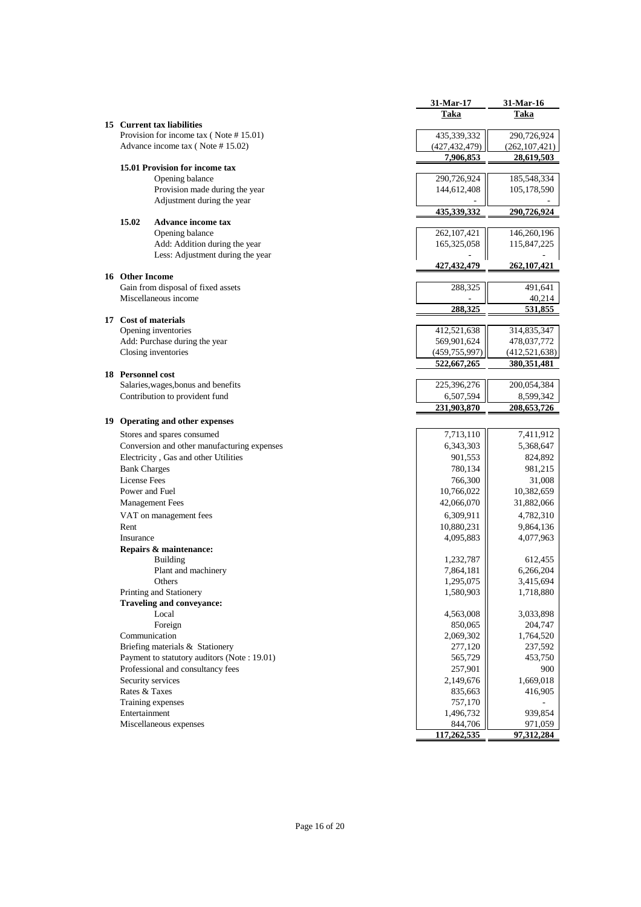|                                                       | 31-Mar-17       | 31-Mar-16          |
|-------------------------------------------------------|-----------------|--------------------|
|                                                       | Taka            | Taka               |
| 15 Current tax liabilities                            |                 |                    |
| Provision for income tax ( $Note # 15.01$ )           | 435,339,332     | 290,726,924        |
| Advance income tax (Note #15.02)                      | (427, 432, 479) | (262, 107, 421)    |
|                                                       | 7,906,853       | <u>28,619,503 </u> |
| 15.01 Provision for income tax                        |                 |                    |
| Opening balance                                       | 290,726,924     | 185,548,334        |
| Provision made during the year                        | 144,612,408     | 105,178,590        |
| Adjustment during the year                            |                 |                    |
|                                                       | 435,339,332     | 290,726,924        |
| 15.02<br><b>Advance income tax</b><br>Opening balance | 262,107,421     | 146,260,196        |
| Add: Addition during the year                         | 165,325,058     | 115,847,225        |
| Less: Adjustment during the year                      |                 |                    |
|                                                       | 427, 432, 479   | 262,107,421        |
| 16 Other Income                                       |                 |                    |
| Gain from disposal of fixed assets                    | 288,325         | 491,641            |
| Miscellaneous income                                  |                 | 40,214             |
|                                                       | 288,325         | 531,855            |
| 17 Cost of materials                                  |                 |                    |
| Opening inventories                                   | 412,521,638     | 314,835,347        |
| Add: Purchase during the year                         | 569,901,624     | 478,037,772        |
| Closing inventories                                   | (459, 755, 997) | (412, 521, 638)    |
|                                                       | 522,667,265     | 380,351,481        |
| 18 Personnel cost                                     |                 |                    |
| Salaries, wages, bonus and benefits                   | 225,396,276     | 200,054,384        |
| Contribution to provident fund                        | 6,507,594       | 8,599,342          |
|                                                       | 231,903,870     | 208, 653, 726      |
| 19 Operating and other expenses                       |                 |                    |
| Stores and spares consumed                            | 7,713,110       | 7,411,912          |
| Conversion and other manufacturing expenses           | 6,343,303       | 5,368,647          |
| Electricity, Gas and other Utilities                  | 901,553         | 824,892            |
| <b>Bank Charges</b>                                   | 780,134         | 981,215            |
| <b>License Fees</b>                                   | 766,300         | 31,008             |
| Power and Fuel                                        | 10,766,022      | 10,382,659         |
| <b>Management Fees</b>                                | 42,066,070      | 31,882,066         |
| VAT on management fees                                | 6,309,911       | 4,782,310          |
| Rent                                                  | 10,880,231      | 9,864,136          |
| Insurance                                             | 4,095,883       | 4,077,963          |
| Repairs & maintenance:                                |                 |                    |
| <b>Building</b>                                       | 1,232,787       | 612,455            |
| Plant and machinery                                   | 7,864,181       | 6,266,204          |
| Others                                                | 1,295,075       | 3,415,694          |
| Printing and Stationery                               | 1,580,903       | 1,718,880          |
| <b>Traveling and conveyance:</b>                      |                 |                    |
| Local                                                 | 4,563,008       | 3,033,898          |
| Foreign                                               | 850,065         | 204,747            |
| Communication                                         | 2,069,302       | 1,764,520          |
| Briefing materials & Stationery                       | 277,120         | 237,592            |
| Payment to statutory auditors (Note: 19.01)           | 565,729         | 453,750            |
| Professional and consultancy fees                     | 257,901         | 900                |
| Security services                                     | 2,149,676       | 1,669,018          |
| Rates & Taxes                                         | 835,663         | 416,905            |
| Training expenses                                     | 757,170         |                    |
| Entertainment                                         | 1,496,732       | 939,854            |
| Miscellaneous expenses                                | 844,706         | 971,059            |
|                                                       | 117,262,535     | 97,312,284         |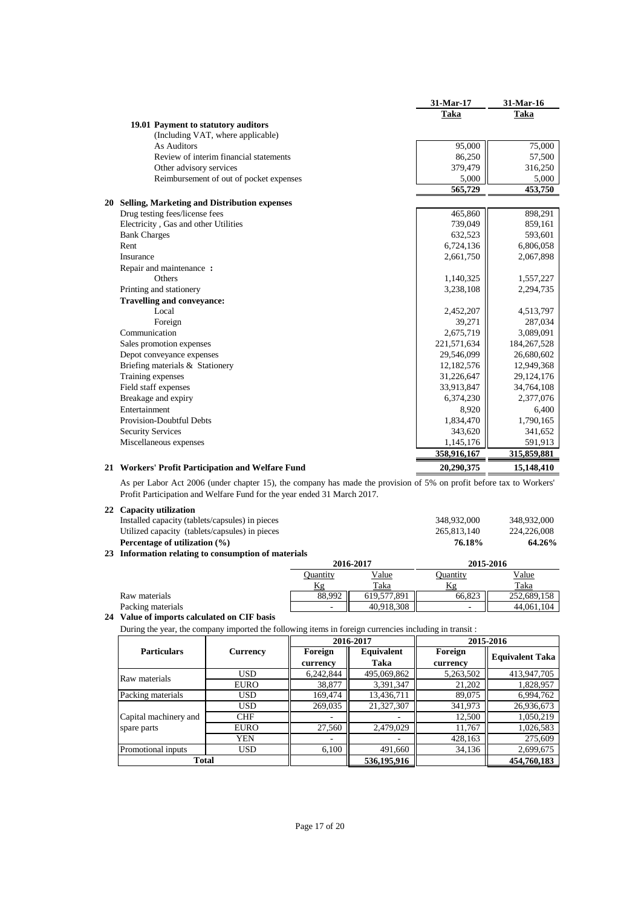|                                                   | 31-Mar-17   | 31-Mar-16     |
|---------------------------------------------------|-------------|---------------|
|                                                   | Taka        | Taka          |
| 19.01 Payment to statutory auditors               |             |               |
| (Including VAT, where applicable)                 |             |               |
| As Auditors                                       | 95,000      | 75,000        |
| Review of interim financial statements            | 86,250      | 57,500        |
| Other advisory services                           | 379,479     | 316,250       |
| Reimbursement of out of pocket expenses           | 5,000       | 5,000         |
|                                                   | 565,729     | 453,750       |
| 20 Selling, Marketing and Distribution expenses   |             |               |
| Drug testing fees/license fees                    | 465,860     | 898,291       |
| Electricity, Gas and other Utilities              | 739,049     | 859,161       |
| <b>Bank Charges</b>                               | 632,523     | 593,601       |
| Rent                                              | 6,724,136   | 6,806,058     |
| Insurance                                         | 2,661,750   | 2,067,898     |
| Repair and maintenance:                           |             |               |
| <b>Others</b>                                     | 1,140,325   | 1,557,227     |
| Printing and stationery                           | 3,238,108   | 2,294,735     |
| Travelling and conveyance:                        |             |               |
| Local                                             | 2,452,207   | 4,513,797     |
| Foreign                                           | 39,271      | 287,034       |
| Communication                                     | 2,675,719   | 3,089,091     |
| Sales promotion expenses                          | 221,571,634 | 184, 267, 528 |
| Depot conveyance expenses                         | 29,546,099  | 26,680,602    |
| Briefing materials & Stationery                   | 12,182,576  | 12,949,368    |
| Training expenses                                 | 31,226,647  | 29,124,176    |
| Field staff expenses                              | 33,913,847  | 34,764,108    |
| Breakage and expiry                               | 6,374,230   | 2,377,076     |
| Entertainment                                     | 8,920       | 6,400         |
| <b>Provision-Doubtful Debts</b>                   | 1,834,470   | 1,790,165     |
| <b>Security Services</b>                          | 343,620     | 341,652       |
| Miscellaneous expenses                            | 1,145,176   | 591,913       |
|                                                   | 358,916,167 | 315,859,881   |
| 21 Workers' Profit Participation and Welfare Fund | 20,290,375  | 15,148,410    |

As per Labor Act 2006 (under chapter 15), the company has made the provision of 5% on profit before tax to Workers' Profit Participation and Welfare Fund for the year ended 31 March 2017.

## **22 Capacity utilization**

| Installed capacity (tablets/capsules) in pieces     | 348,932,000 | 348,932,000 |
|-----------------------------------------------------|-------------|-------------|
| Utilized capacity (tablets/capsules) in pieces      | 265,813,140 | 224,226,008 |
| Percentage of utilization $(\% )$                   | 76.18%      | 64.26%      |
| 23 Information relating to consumption of materials |             |             |
|                                                     |             |             |

|                   |          | 2016-2017   |          | 2015-2016   |  |
|-------------------|----------|-------------|----------|-------------|--|
|                   | Juantity | Value       | Ouantity | Value       |  |
|                   | Κg       | Taka        |          | Taka        |  |
| Raw materials     | 88.992   | 619.577.891 | 66.823   | 252,689,158 |  |
| Packing materials |          | 40,918,308  |          | 44,061,104  |  |

**24 Value of imports calculated on CIF basis**

During the year, the company imported the following items in foreign currencies including in transit :

|                       |                 |           | 2016-2017   |           | 2015-2016              |
|-----------------------|-----------------|-----------|-------------|-----------|------------------------|
| <b>Particulars</b>    | <b>Currency</b> | Foreign   | Equivalent  | Foreign   | <b>Equivalent Taka</b> |
|                       |                 | currency  | Taka        | currency  |                        |
| Raw materials         | USD.            | 6,242,844 | 495,069,862 | 5,263,502 | 413,947,705            |
|                       | <b>EURO</b>     | 38,877    | 3,391,347   | 21,202    | 1,828,957              |
| Packing materials     | <b>USD</b>      | 169,474   | 13,436,711  | 89,075    | 6,994,762              |
|                       | <b>USD</b>      | 269,035   | 21,327,307  | 341,973   | 26,936,673             |
| Capital machinery and | <b>CHF</b>      |           |             | 12,500    | 1,050,219              |
| spare parts           | <b>EURO</b>     | 27,560    | 2,479,029   | 11,767    | 1,026,583              |
|                       | YEN             |           |             | 428,163   | 275,609                |
| Promotional inputs    | <b>USD</b>      | 6,100     | 491,660     | 34,136    | 2,699,675              |
| <b>Total</b>          |                 |           | 536,195,916 |           | 454,760,183            |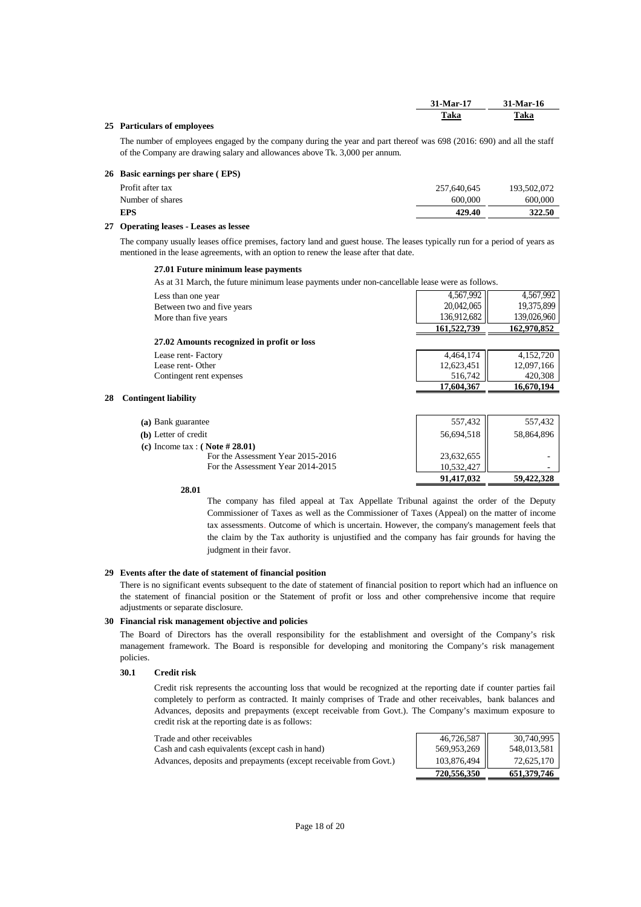|                                                                                             | Mar-17 | Mar-16     |
|---------------------------------------------------------------------------------------------|--------|------------|
| the property of the control of the control of<br><b>Contract Contract Contract Contract</b> | Taka   | Taka<br>__ |

## **25 Particulars of employees**

The number of employees engaged by the company during the year and part thereof was 698 (2016: 690) and all the staff of the Company are drawing salary and allowances above Tk. 3,000 per annum.

#### **26 Basic earnings per share (EPS)**

| .<br>$\overline{\phantom{0}}$ |             |             |
|-------------------------------|-------------|-------------|
| EPS                           | 429.40      | 322.50      |
| Number of shares              | 600,000     | 600,000     |
| Profit after tax              | 257,640,645 | 193,502,072 |
|                               |             |             |

#### **27 Operating leases - Leases as lessee**

The company usually leases office premises, factory land and guest house. The leases typically run for a period of years as mentioned in the lease agreements, with an option to renew the lease after that date.

#### **27.01 Future minimum lease payments**

As at 31 March, the future minimum lease payments under non-cancellable lease were as follows.

| Less than one year                         | 4,567,992   | 4,567,992   |
|--------------------------------------------|-------------|-------------|
| Between two and five years                 | 20,042,065  | 19,375,899  |
| More than five years                       | 136,912,682 | 139,026,960 |
|                                            | 161,522,739 | 162,970,852 |
| 27.02 Amounts recognized in profit or loss |             |             |
| Lease rent- Factory                        | 4,464,174   | 4,152,720   |
| Lease rent-Other                           | 12,623,451  | 12,097,166  |
| Contingent rent expenses                   | 516,742     | 420,308     |
|                                            | 17,604,367  | 16,670,194  |
| <b>Contingent liability</b><br>28          |             |             |
| (a) Bank guarantee                         | 557,432     | 557,432     |
| (b) Letter of credit                       | 56,694,518  | 58,864,896  |
| (c) Income tax: $($ Note $\# 28.01)$       |             |             |
| For the Assessment Year 2015-2016          | 23.632.655  |             |

#### **28.01**

The company has filed appeal at Tax Appellate Tribunal against the order of the Deputy Commissioner of Taxes as well as the Commissioner of Taxes (Appeal) on the matter of income tax assessments. Outcome of which is uncertain. However, the company's management feels that the claim by the Tax authority is unjustified and the company has fair grounds for having the judgment in their favor.

 **91,417,032 59,422,328** 

#### **29 Events after the date of statement of financial position**

There is no significant events subsequent to the date of statement of financial position to report which had an influence on the statement of financial position or the Statement of profit or loss and other comprehensive income that require adjustments or separate disclosure.

For the Assessment Year 2014-2015 10,532,427

### **30 Financial risk management objective and policies**

The Board of Directors has the overall responsibility for the establishment and oversight of the Company's risk management framework. The Board is responsible for developing and monitoring the Company's risk management policies.

#### **30.1 Credit risk**

Credit risk represents the accounting loss that would be recognized at the reporting date if counter parties fail completely to perform as contracted. It mainly comprises of Trade and other receivables, bank balances and Advances, deposits and prepayments (except receivable from Govt.). The Company's maximum exposure to credit risk at the reporting date is as follows:

| Trade and other receivables                                       | 46,726,587  | 30,740,995  |
|-------------------------------------------------------------------|-------------|-------------|
| Cash and cash equivalents (except cash in hand)                   | 569,953,269 | 548.013.581 |
| Advances, deposits and prepayments (except receivable from Govt.) | 103,876,494 | 72.625.170  |
|                                                                   | 720.556.350 | 651,379,746 |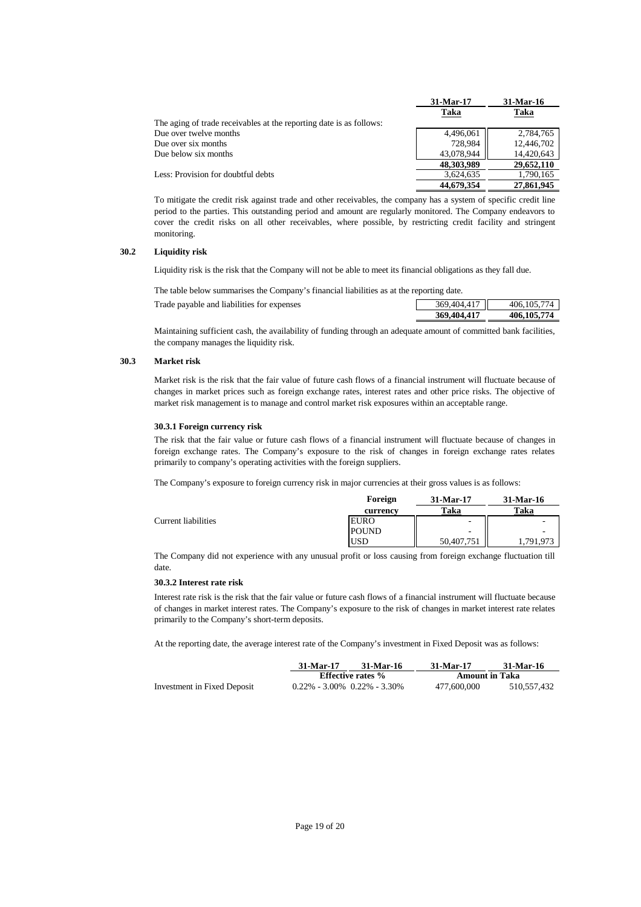|                                                                     | 31-Mar-17  | 31-Mar-16  |
|---------------------------------------------------------------------|------------|------------|
|                                                                     | Taka       | Taka       |
| The aging of trade receivables at the reporting date is as follows: |            |            |
| Due over twelve months                                              | 4,496,061  | 2,784,765  |
| Due over six months                                                 | 728,984    | 12,446,702 |
| Due below six months                                                | 43,078,944 | 14,420,643 |
|                                                                     | 48,303,989 | 29,652,110 |
| Less: Provision for doubtful debts                                  | 3.624,635  | 1,790,165  |
|                                                                     | 44,679,354 | 27,861,945 |

To mitigate the credit risk against trade and other receivables, the company has a system of specific credit line period to the parties. This outstanding period and amount are regularly monitored. The Company endeavors to cover the credit risks on all other receivables, where possible, by restricting credit facility and stringent monitoring.

## **30.2 Liquidity risk**

Liquidity risk is the risk that the Company will not be able to meet its financial obligations as they fall due.

| The table below summarises the Company's financial liabilities as at the reporting date. |             |             |  |
|------------------------------------------------------------------------------------------|-------------|-------------|--|
| Trade payable and liabilities for expenses                                               | 369,404,417 | 406,105,774 |  |
|                                                                                          | 369,404,417 | 406,105,774 |  |

Maintaining sufficient cash, the availability of funding through an adequate amount of committed bank facilities, the company manages the liquidity risk.

## **30.3 Market risk**

Market risk is the risk that the fair value of future cash flows of a financial instrument will fluctuate because of changes in market prices such as foreign exchange rates, interest rates and other price risks. The objective of market risk management is to manage and control market risk exposures within an acceptable range.

#### **30.3.1 Foreign currency risk**

The risk that the fair value or future cash flows of a financial instrument will fluctuate because of changes in foreign exchange rates. The Company's exposure to the risk of changes in foreign exchange rates relates primarily to company's operating activities with the foreign suppliers.

The Company's exposure to foreign currency risk in major currencies at their gross values is as follows:

|                     | Foreign      | 31-Mar-17                | 31-Mar-16        |
|---------------------|--------------|--------------------------|------------------|
|                     | currency     | Taka                     | Taka             |
| Current liabilities | <b>EURO</b>  | $\overline{\phantom{a}}$ |                  |
|                     | <b>POUND</b> | $\overline{\phantom{a}}$ |                  |
|                     | USD          | 50,407,751               | .973<br>1,791.97 |

The Company did not experience with any unusual profit or loss causing from foreign exchange fluctuation till date.

#### **30.3.2 Interest rate risk**

Interest rate risk is the risk that the fair value or future cash flows of a financial instrument will fluctuate because of changes in market interest rates. The Company's exposure to the risk of changes in market interest rate relates primarily to the Company's short-term deposits.

At the reporting date, the average interest rate of the Company's investment in Fixed Deposit was as follows:

|                             | 31-Mar-17                           | 31-Mar-16                | 31-Mar-17   | 31-Mar-16             |  |  |
|-----------------------------|-------------------------------------|--------------------------|-------------|-----------------------|--|--|
|                             |                                     | <b>Effective rates %</b> |             | <b>Amount in Taka</b> |  |  |
| Investment in Fixed Deposit | $0.22\% - 3.00\% - 0.22\% - 3.30\%$ |                          | 477.600.000 | 510.557.432           |  |  |